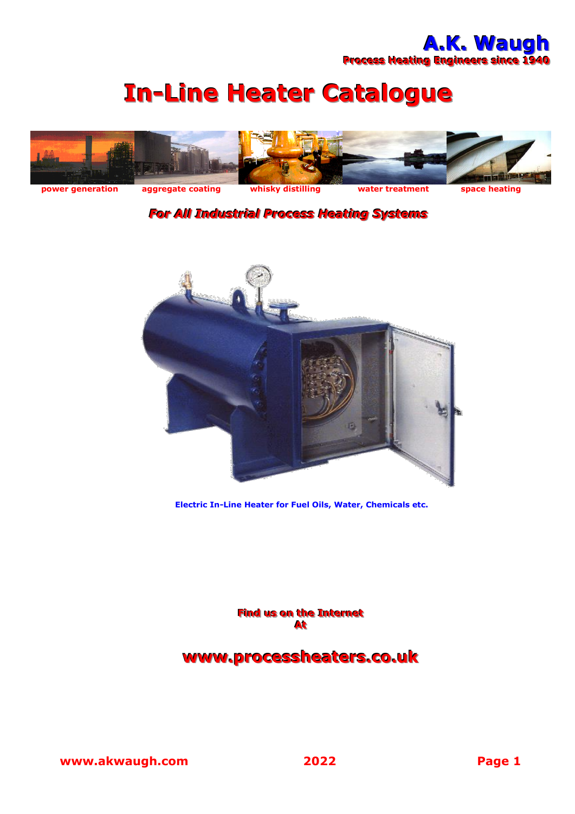# **In-Line Heater Catalogue**



#### *For All Industrial Process Heating Systems*



**Electric In-Line Heater for Fuel Oils, Water, Chemicals etc.**

**Find us on the Internet AAtt**

#### **www..processheaters..co..uk**

**www.akwaugh.com 2022 Page 1**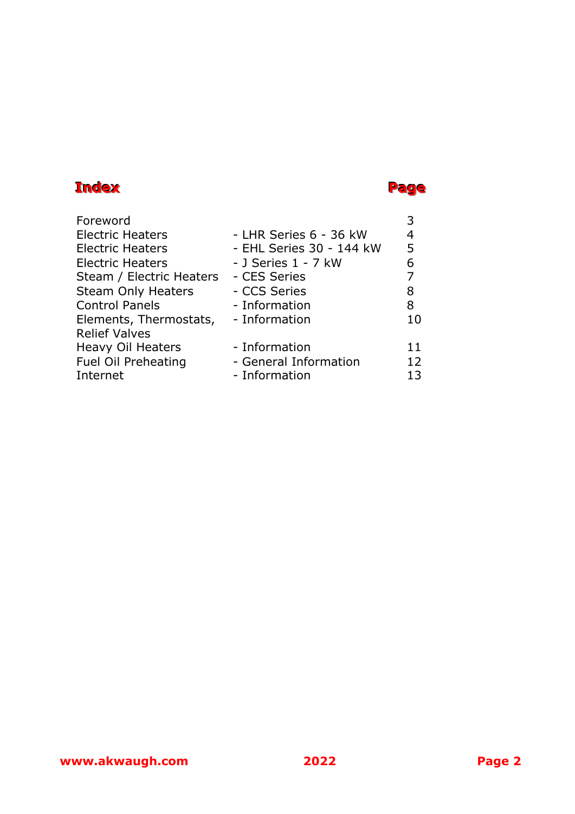#### **Index Page**

| Foreword                  |                          |    |
|---------------------------|--------------------------|----|
| <b>Electric Heaters</b>   | - LHR Series 6 - 36 kW   | 4  |
| <b>Electric Heaters</b>   | - EHL Series 30 - 144 kW | 5  |
| <b>Electric Heaters</b>   | - J Series 1 - 7 kW      | 6  |
| Steam / Electric Heaters  | - CES Series             | 7  |
| <b>Steam Only Heaters</b> | - CCS Series             | 8  |
| <b>Control Panels</b>     | - Information            | 8  |
| Elements, Thermostats,    | - Information            | 10 |
| <b>Relief Valves</b>      |                          |    |
| <b>Heavy Oil Heaters</b>  | - Information            | 11 |
| Fuel Oil Preheating       | - General Information    | 12 |
| Internet                  | - Information            | 13 |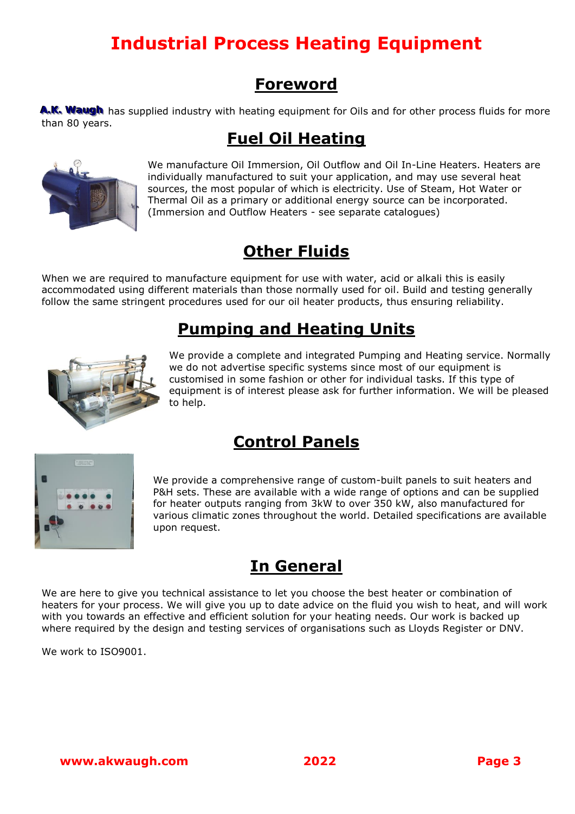## **Industrial Process Heating Equipment**

#### **Foreword**

A.K. Waugh has supplied industry with heating equipment for Oils and for other process fluids for more than 80 years.

### **Fuel Oil Heating**



We manufacture Oil Immersion, Oil Outflow and Oil In-Line Heaters. Heaters are individually manufactured to suit your application, and may use several heat sources, the most popular of which is electricity. Use of Steam, Hot Water or Thermal Oil as a primary or additional energy source can be incorporated. (Immersion and Outflow Heaters - see separate catalogues)

## **Other Fluids**

When we are required to manufacture equipment for use with water, acid or alkali this is easily accommodated using different materials than those normally used for oil. Build and testing generally follow the same stringent procedures used for our oil heater products, thus ensuring reliability.

#### **Pumping and Heating Units**



We provide a complete and integrated Pumping and Heating service. Normally we do not advertise specific systems since most of our equipment is customised in some fashion or other for individual tasks. If this type of equipment is of interest please ask for further information. We will be pleased to help.

#### **Control Panels**



We provide a comprehensive range of custom-built panels to suit heaters and P&H sets. These are available with a wide range of options and can be supplied for heater outputs ranging from 3kW to over 350 kW, also manufactured for various climatic zones throughout the world. Detailed specifications are available upon request.

#### **In General**

We are here to give you technical assistance to let you choose the best heater or combination of heaters for your process. We will give you up to date advice on the fluid you wish to heat, and will work with you towards an effective and efficient solution for your heating needs. Our work is backed up where required by the design and testing services of organisations such as Lloyds Register or DNV.

We work to ISO9001.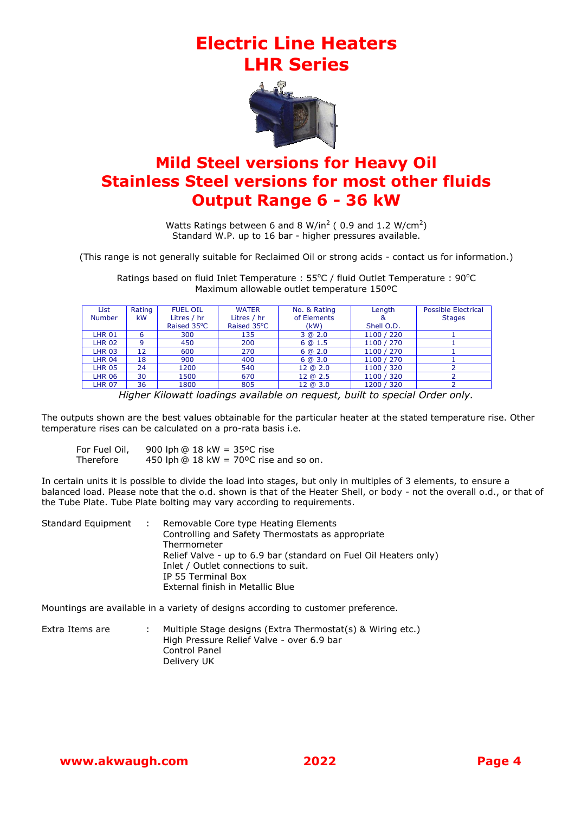#### **Electric Line Heaters LHR Series**



#### **Mild Steel versions for Heavy Oil Stainless Steel versions for most other fluids Output Range 6 - 36 kW**

Watts Ratings between 6 and 8 W/in<sup>2</sup> (0.9 and 1.2 W/cm<sup>2</sup>) Standard W.P. up to 16 bar - higher pressures available.

(This range is not generally suitable for Reclaimed Oil or strong acids - contact us for information.)

Ratings based on fluid Inlet Temperature : 55°C / fluid Outlet Temperature : 90°C Maximum allowable outlet temperature 150ºC

| <b>List</b>   | Rating    | <b>FUEL OIL</b> | <b>WATER</b> | No. & Rating | Length     | <b>Possible Electrical</b> |
|---------------|-----------|-----------------|--------------|--------------|------------|----------------------------|
| <b>Number</b> | <b>kW</b> | Litres / hr     | Litres / hr  | of Elements  |            | <b>Stages</b>              |
|               |           | Raised 35°C     | Raised 35°C  | (kW)         | Shell O.D. |                            |
| <b>LHR 01</b> | 6         | 300             | 135          | 3 @ 2.0      | 1100 / 220 |                            |
| <b>LHR 02</b> | 9         | 450             | 200          | 6 @ 1.5      | 1100 / 270 |                            |
| <b>LHR 03</b> | 12        | 600             | 270          | 6@2.0        | 1100 / 270 |                            |
| <b>LHR 04</b> | 18        | 900             | 400          | 6@3.0        | 1100 / 270 |                            |
| <b>LHR 05</b> | 24        | 1200            | 540          | 12 @ 2.0     | 1100 / 320 |                            |
| <b>LHR 06</b> | 30        | 1500            | 670          | 12 @ 2.5     | 1100 / 320 |                            |
| <b>LHR 07</b> | 36        | 1800            | 805          | 12 @ 3.0     | 1200 / 320 |                            |

*Higher Kilowatt loadings available on request, built to special Order only.*

The outputs shown are the best values obtainable for the particular heater at the stated temperature rise. Other temperature rises can be calculated on a pro-rata basis i.e.

| For Fuel Oil, | 900 lph @ 18 kW = 35°C rise                           |
|---------------|-------------------------------------------------------|
| Therefore     | 450 lph $@$ 18 kW = 70 <sup>o</sup> C rise and so on. |

In certain units it is possible to divide the load into stages, but only in multiples of 3 elements, to ensure a balanced load. Please note that the o.d. shown is that of the Heater Shell, or body - not the overall o.d., or that of the Tube Plate. Tube Plate bolting may vary according to requirements.

| Standard Equipment | n Britannia | Removable Core type Heating Elements                             |
|--------------------|-------------|------------------------------------------------------------------|
|                    |             | Controlling and Safety Thermostats as appropriate                |
|                    |             | Thermometer                                                      |
|                    |             | Relief Valve - up to 6.9 bar (standard on Fuel Oil Heaters only) |
|                    |             | Inlet / Outlet connections to suit.                              |
|                    |             | IP 55 Terminal Box                                               |
|                    |             | External finish in Metallic Blue                                 |

Mountings are available in a variety of designs according to customer preference.

| Extra Items are | Multiple Stage designs (Extra Thermostat(s) & Wiring etc.) |
|-----------------|------------------------------------------------------------|
|                 | High Pressure Relief Valve - over 6.9 bar                  |
|                 | Control Panel                                              |
|                 | Delivery UK                                                |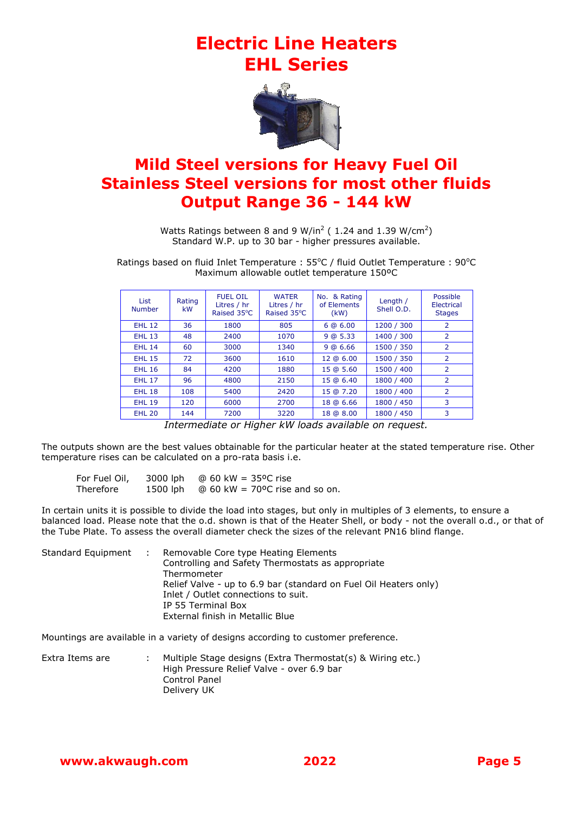#### **Electric Line Heaters EHL Series**



#### **Mild Steel versions for Heavy Fuel Oil Stainless Steel versions for most other fluids Output Range 36 - 144 kW**

Watts Ratings between 8 and 9 W/in<sup>2</sup> (1.24 and 1.39 W/cm<sup>2</sup>) Standard W.P. up to 30 bar - higher pressures available.

Ratings based on fluid Inlet Temperature : 55°C / fluid Outlet Temperature : 90°C Maximum allowable outlet temperature 150ºC

| <b>List</b><br><b>Number</b> | Rating<br>kW | <b>FUEL OIL</b><br>Litres / hr<br>Raised 35°C | <b>WATER</b><br>Litres / hr<br>Raised 35°C | No. & Rating<br>of Elements<br>(kW) | Length /<br>Shell O.D. | Possible<br>Electrical<br><b>Stages</b> |
|------------------------------|--------------|-----------------------------------------------|--------------------------------------------|-------------------------------------|------------------------|-----------------------------------------|
| <b>EHL 12</b>                | 36           | 1800                                          | 805                                        | 6@6.00                              | 1200 / 300             | 2                                       |
| <b>EHL 13</b>                | 48           | 2400                                          | 1070                                       | 9@5.33                              | 1400 / 300             | $\overline{2}$                          |
| <b>EHL 14</b>                | 60           | 3000                                          | 1340                                       | 9 @ 6.66                            | 1500 / 350             | $\overline{2}$                          |
| <b>EHL 15</b>                | 72           | 3600                                          | 1610                                       | 12 @ 6.00                           | 1500 / 350             | $\overline{2}$                          |
| <b>EHL 16</b>                | 84           | 4200                                          | 1880                                       | 15 @ 5.60                           | 1500 / 400             | $\overline{2}$                          |
| <b>EHL 17</b>                | 96           | 4800                                          | 2150                                       | 15 @ 6.40                           | 1800 / 400             | $\overline{2}$                          |
| <b>EHL 18</b>                | 108          | 5400                                          | 2420                                       | 15 @ 7.20                           | 1800 / 400             | $\overline{2}$                          |
| <b>EHL 19</b>                | 120          | 6000                                          | 2700                                       | 18 @ 6.66                           | 1800 / 450             | 3                                       |
| <b>EHL 20</b>                | 144          | 7200                                          | 3220                                       | 18 @ 8.00                           | 1800 / 450             | 3                                       |

*Intermediate or Higher kW loads available on request.*

The outputs shown are the best values obtainable for the particular heater at the stated temperature rise. Other temperature rises can be calculated on a pro-rata basis i.e.

| For Fuel Oil, | 3000 lph | @ 60 kW = 35°C rise                   |
|---------------|----------|---------------------------------------|
| Therefore     | 1500 lph | $\omega$ 60 kW = 70°C rise and so on. |

In certain units it is possible to divide the load into stages, but only in multiples of 3 elements, to ensure a balanced load. Please note that the o.d. shown is that of the Heater Shell, or body - not the overall o.d., or that of the Tube Plate. To assess the overall diameter check the sizes of the relevant PN16 blind flange.

| Standard Equipment : | Removable Core type Heating Elements<br>Controlling and Safety Thermostats as appropriate<br>Thermometer<br>Relief Valve - up to 6.9 bar (standard on Fuel Oil Heaters only)<br>Inlet / Outlet connections to suit.<br>IP 55 Terminal Box |
|----------------------|-------------------------------------------------------------------------------------------------------------------------------------------------------------------------------------------------------------------------------------------|
|                      | External finish in Metallic Blue                                                                                                                                                                                                          |

Mountings are available in a variety of designs according to customer preference.

| Extra Items are | Multiple Stage designs (Extra Thermostat(s) & Wiring etc.)<br>High Pressure Relief Valve - over 6.9 bar<br>Control Panel |
|-----------------|--------------------------------------------------------------------------------------------------------------------------|
|                 | Delivery UK                                                                                                              |
|                 |                                                                                                                          |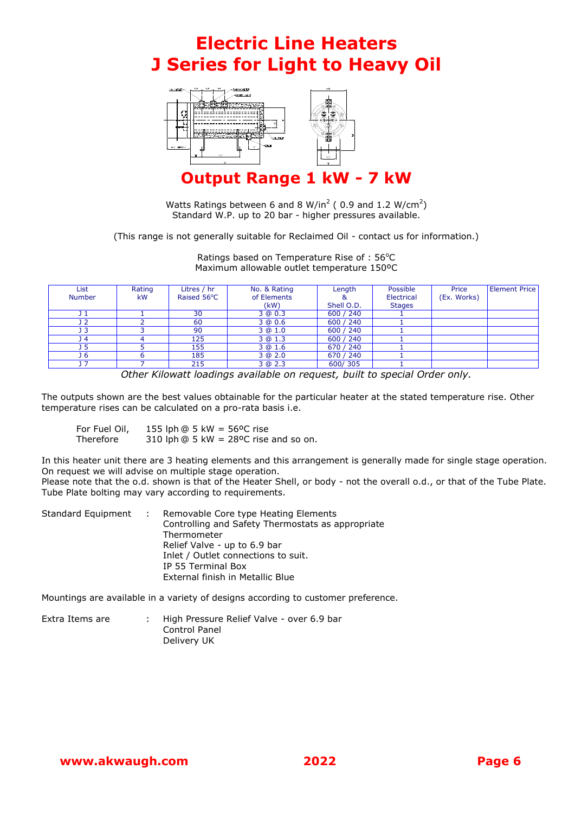#### **Electric Line Heaters J Series for Light to Heavy Oil**



**Output Range 1 kW - 7 kW**

Watts Ratings between 6 and 8 W/in<sup>2</sup> (0.9 and 1.2 W/cm<sup>2</sup>) Standard W.P. up to 20 bar - higher pressures available.

(This range is not generally suitable for Reclaimed Oil - contact us for information.)

Ratings based on Temperature Rise of :  $56^{\circ}$ C Maximum allowable outlet temperature 150ºC

| List          | Rating    | Litres / hr | No. & Rating | Length     | Possible      | Price       | <b>Element Price</b> |
|---------------|-----------|-------------|--------------|------------|---------------|-------------|----------------------|
| <b>Number</b> | <b>kW</b> | Raised 56°C | of Elements  |            | Electrical    | (Ex. Works) |                      |
|               |           |             | (kW)         | Shell O.D. | <b>Stages</b> |             |                      |
| 11            |           | 30          | 3 @ 0.3      | 600 / 240  |               |             |                      |
| 12            |           | 60          | 3 @ 0.6      | 600 / 240  |               |             |                      |
| 13            |           | 90          | 3@1.0        | 600 / 240  |               |             |                      |
| 14            |           | 125         | 3 @ 1.3      | 600 / 240  |               |             |                      |
| 15            |           | 155         | 3 @ 1.6      | 670 / 240  |               |             |                      |
| <b>J</b> 6    |           | 185         | 3 @ 2.0      | 670 / 240  |               |             |                      |
| 17            |           | 215         | 3 @ 2.3      | 600/305    |               |             |                      |

*Other Kilowatt loadings available on request, built to special Order only.*

The outputs shown are the best values obtainable for the particular heater at the stated temperature rise. Other temperature rises can be calculated on a pro-rata basis i.e.

| For Fuel Oil, | 155 lph $@$ 5 kW = 56°C rise           |
|---------------|----------------------------------------|
| Therefore     | 310 lph $@5$ kW = 28°C rise and so on. |

In this heater unit there are 3 heating elements and this arrangement is generally made for single stage operation. On request we will advise on multiple stage operation.

Please note that the o.d. shown is that of the Heater Shell, or body - not the overall o.d., or that of the Tube Plate. Tube Plate bolting may vary according to requirements.

|  | Standard Equipment : Removable Core type Heating Elements<br>Controlling and Safety Thermostats as appropriate<br>Thermometer<br>Relief Valve - up to 6.9 bar<br>Inlet / Outlet connections to suit. |
|--|------------------------------------------------------------------------------------------------------------------------------------------------------------------------------------------------------|
|  | IP 55 Terminal Box<br>External finish in Metallic Blue                                                                                                                                               |

Mountings are available in a variety of designs according to customer preference.

| Extra Items are | High Pressure Relief Valve - over 6.9 bar |
|-----------------|-------------------------------------------|
|                 | Control Panel                             |
|                 | Delivery UK                               |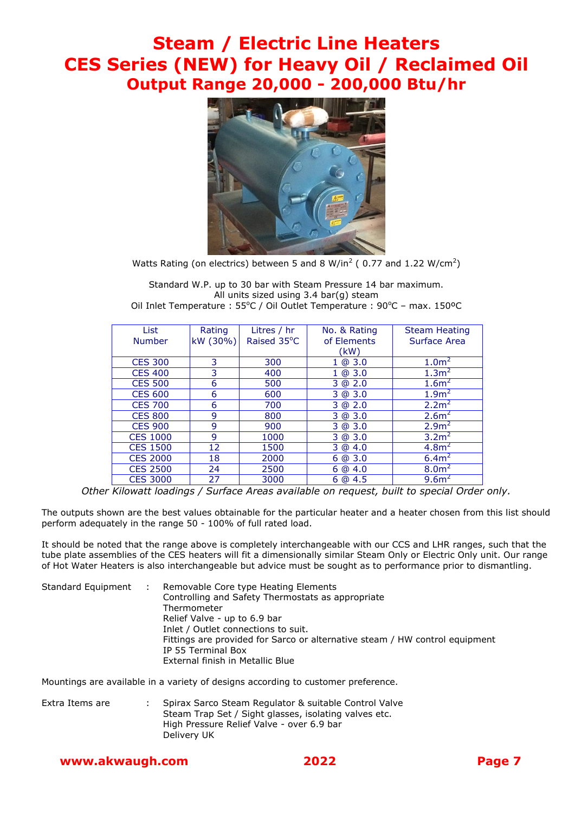#### **Steam / Electric Line Heaters CES Series (NEW) for Heavy Oil / Reclaimed Oil Output Range 20,000 - 200,000 Btu/hr**



Watts Rating (on electrics) between 5 and 8 W/in<sup>2</sup> (0.77 and 1.22 W/cm<sup>2</sup>)

Standard W.P. up to 30 bar with Steam Pressure 14 bar maximum. All units sized using 3.4 bar(g) steam Oil Inlet Temperature : 55°C / Oil Outlet Temperature : 90°C - max. 150°C

| List            | Rating   | Litres / hr | No. & Rating | <b>Steam Heating</b> |
|-----------------|----------|-------------|--------------|----------------------|
| <b>Number</b>   | kW (30%) | Raised 35°C | of Elements  | Surface Area         |
|                 |          |             | (kW)         |                      |
| <b>CES 300</b>  | 3        | 300         | 1 @ 3.0      | 1.0 <sup>m²</sup>    |
| <b>CES 400</b>  | 3        | 400         | 1 @ 3.0      | 1.3 <sup>2</sup>     |
| <b>CES 500</b>  | 6        | 500         | 3 @ 2.0      | 1.6 <sup>2</sup>     |
| <b>CES 600</b>  | 6        | 600         | 3 @ 3.0      | 1.9 <sup>2</sup>     |
| <b>CES 700</b>  | 6        | 700         | 3 @ 2.0      | 2.2 <sup>2</sup>     |
| <b>CES 800</b>  | 9        | 800         | 3 @ 3.0      | 2.6 <sup>2</sup>     |
| <b>CES 900</b>  | 9        | 900         | 3 @ 3.0      | 2.9 <sup>2</sup>     |
| <b>CES 1000</b> | 9        | 1000        | 3 @ 3.0      | 3.2 <sup>2</sup>     |
| <b>CES 1500</b> | 12       | 1500        | 3 @ 4.0      | 4.8 <sup>2</sup>     |
| <b>CES 2000</b> | 18       | 2000        | 6@3.0        | 6.4m <sup>2</sup>    |
| <b>CES 2500</b> | 24       | 2500        | 6@4.0        | 8.0 <sup>2</sup>     |
| <b>CES 3000</b> | 27       | 3000        | 6@4.5        | 9.6 <sup>2</sup>     |

*Other Kilowatt loadings / Surface Areas available on request, built to special Order only.*

The outputs shown are the best values obtainable for the particular heater and a heater chosen from this list should perform adequately in the range 50 - 100% of full rated load.

It should be noted that the range above is completely interchangeable with our CCS and LHR ranges, such that the tube plate assemblies of the CES heaters will fit a dimensionally similar Steam Only or Electric Only unit. Our range of Hot Water Heaters is also interchangeable but advice must be sought as to performance prior to dismantling.

| Standard Equipment | <b>STAR</b> | Removable Core type Heating Elements                                        |
|--------------------|-------------|-----------------------------------------------------------------------------|
|                    |             | Controlling and Safety Thermostats as appropriate                           |
|                    |             | Thermometer                                                                 |
|                    |             | Relief Valve - up to 6.9 bar                                                |
|                    |             | Inlet / Outlet connections to suit.                                         |
|                    |             | Fittings are provided for Sarco or alternative steam / HW control equipment |
|                    |             | IP 55 Terminal Box                                                          |
|                    |             | External finish in Metallic Blue                                            |

Mountings are available in a variety of designs according to customer preference.

Extra Items are : Spirax Sarco Steam Regulator & suitable Control Valve Steam Trap Set / Sight glasses, isolating valves etc. High Pressure Relief Valve - over 6.9 bar Delivery UK

#### **www.akwaugh.com 2022 Page 7**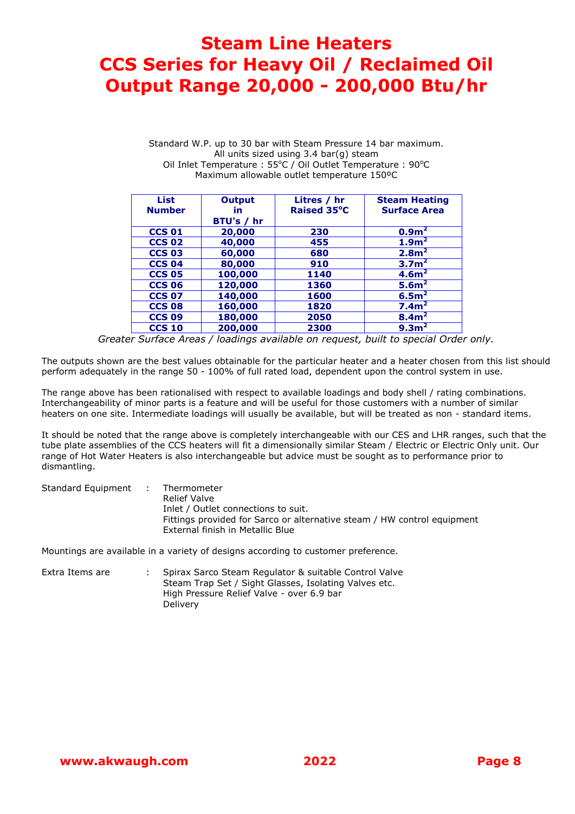#### **Steam Line Heaters CCS Series for Heavy Oil / Reclaimed Oil Output Range 20,000 - 200,000 Btu/hr**

Standard W.P. up to 30 bar with Steam Pressure 14 bar maximum. All units sized using 3.4 bar(g) steam Oil Inlet Temperature : 55°C / Oil Outlet Temperature : 90°C Maximum allowable outlet temperature 150ºC

| <b>List</b><br><b>Number</b> | <b>Output</b><br>in.<br>BTU's / hr | Litres / hr<br>Raised 35°C | <b>Steam Heating</b><br><b>Surface Area</b> |
|------------------------------|------------------------------------|----------------------------|---------------------------------------------|
| <b>CCS 01</b>                | 20,000                             | 230                        | 0.9 <sup>2</sup>                            |
| <b>CCS 02</b>                | 40,000                             | 455                        | 1.9 <sup>2</sup>                            |
| <b>CCS 03</b>                | 60,000                             | 680                        | 2.8 <sup>2</sup>                            |
| <b>CCS 04</b>                | 80,000                             | 910                        | 3.7 <sup>2</sup>                            |
| <b>CCS 05</b>                | 100,000                            | 1140                       | 4.6 <sup>m²</sup>                           |
| <b>CCS 06</b>                | 120,000                            | 1360                       | 5.6 <sup>2</sup>                            |
| <b>CCS 07</b>                | 140,000                            | 1600                       | 6.5 <sup>2</sup>                            |
| <b>CCS 08</b>                | 160,000                            | 1820                       | 7.4 <sup>2</sup>                            |
| <b>CCS 09</b>                | 180,000                            | 2050                       | 8.4 <sup>2</sup>                            |
| <b>CCS 10</b>                | 200,000                            | 2300                       | 9.3 <sup>2</sup>                            |

*Greater Surface Areas / loadings available on request, built to special Order only.*

The outputs shown are the best values obtainable for the particular heater and a heater chosen from this list should perform adequately in the range 50 - 100% of full rated load, dependent upon the control system in use.

The range above has been rationalised with respect to available loadings and body shell / rating combinations. Interchangeability of minor parts is a feature and will be useful for those customers with a number of similar heaters on one site. Intermediate loadings will usually be available, but will be treated as non - standard items.

It should be noted that the range above is completely interchangeable with our CES and LHR ranges, such that the tube plate assemblies of the CCS heaters will fit a dimensionally similar Steam / Electric or Electric Only unit. Our range of Hot Water Heaters is also interchangeable but advice must be sought as to performance prior to dismantling.

| Standard Equipment | Thermometer                                                             |
|--------------------|-------------------------------------------------------------------------|
|                    | Relief Valve                                                            |
|                    | Inlet / Outlet connections to suit.                                     |
|                    | Fittings provided for Sarco or alternative steam / HW control equipment |
|                    | External finish in Metallic Blue                                        |

Mountings are available in a variety of designs according to customer preference.

Extra Items are : Spirax Sarco Steam Regulator & suitable Control Valve Steam Trap Set / Sight Glasses, Isolating Valves etc. High Pressure Relief Valve - over 6.9 bar **Delivery**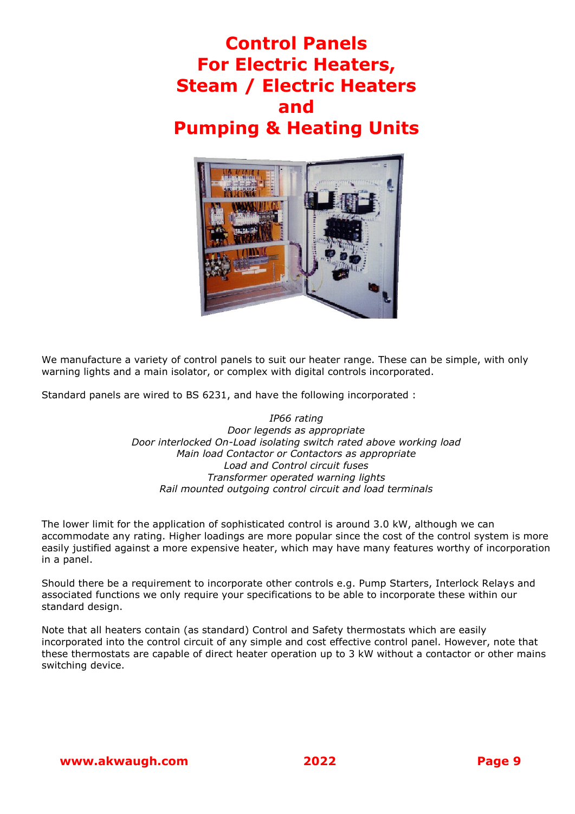#### **Control Panels For Electric Heaters, Steam / Electric Heaters and Pumping & Heating Units**



We manufacture a variety of control panels to suit our heater range. These can be simple, with only warning lights and a main isolator, or complex with digital controls incorporated.

Standard panels are wired to BS 6231, and have the following incorporated :

*IP66 rating Door legends as appropriate Door interlocked On-Load isolating switch rated above working load Main load Contactor or Contactors as appropriate Load and Control circuit fuses Transformer operated warning lights Rail mounted outgoing control circuit and load terminals*

The lower limit for the application of sophisticated control is around 3.0 kW, although we can accommodate any rating. Higher loadings are more popular since the cost of the control system is more easily justified against a more expensive heater, which may have many features worthy of incorporation in a panel.

Should there be a requirement to incorporate other controls e.g. Pump Starters, Interlock Relays and associated functions we only require your specifications to be able to incorporate these within our standard design.

Note that all heaters contain (as standard) Control and Safety thermostats which are easily incorporated into the control circuit of any simple and cost effective control panel. However, note that these thermostats are capable of direct heater operation up to 3 kW without a contactor or other mains switching device.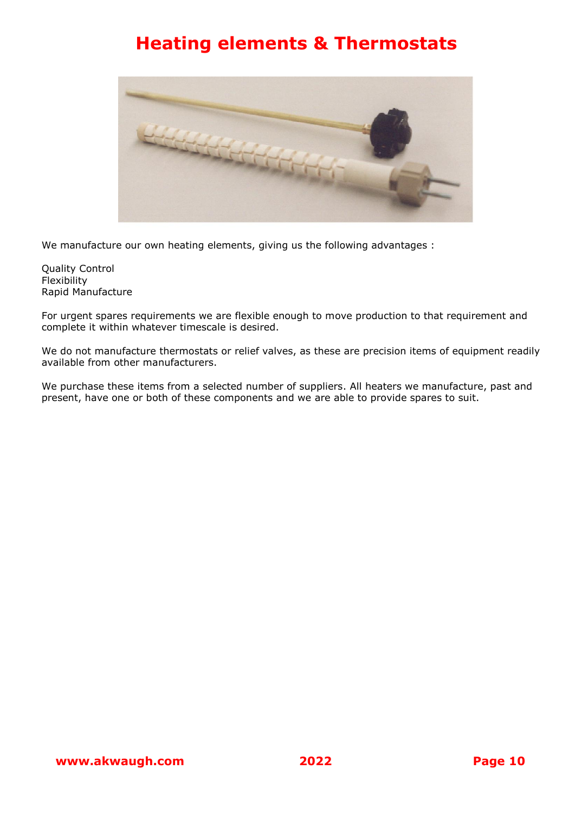#### **Heating elements & Thermostats**



We manufacture our own heating elements, giving us the following advantages :

Quality Control **Flexibility** Rapid Manufacture

For urgent spares requirements we are flexible enough to move production to that requirement and complete it within whatever timescale is desired.

We do not manufacture thermostats or relief valves, as these are precision items of equipment readily available from other manufacturers.

We purchase these items from a selected number of suppliers. All heaters we manufacture, past and present, have one or both of these components and we are able to provide spares to suit.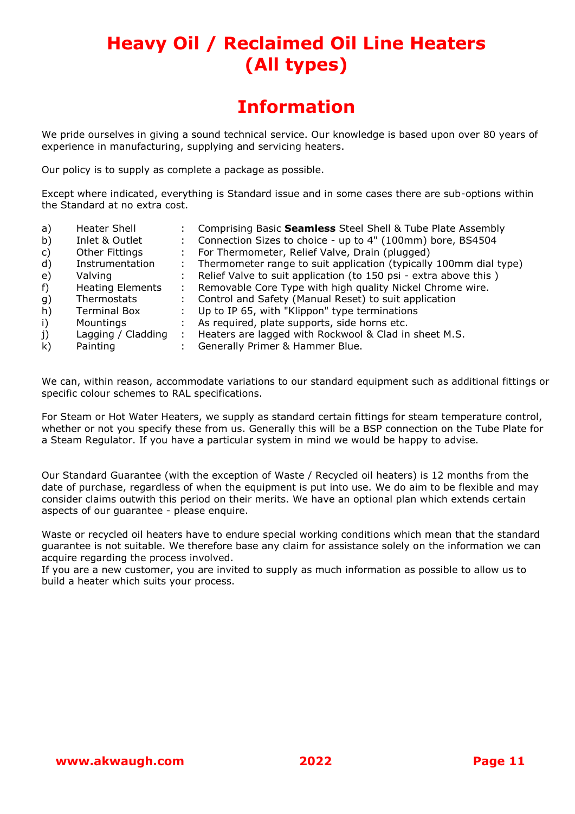## **Heavy Oil / Reclaimed Oil Line Heaters (All types)**

#### **Information**

We pride ourselves in giving a sound technical service. Our knowledge is based upon over 80 years of experience in manufacturing, supplying and servicing heaters.

Our policy is to supply as complete a package as possible.

Except where indicated, everything is Standard issue and in some cases there are sub-options within the Standard at no extra cost.

| a)           | Heater Shell            |    | Comprising Basic Seamless Steel Shell & Tube Plate Assembly       |
|--------------|-------------------------|----|-------------------------------------------------------------------|
| b)           | Inlet & Outlet          |    | Connection Sizes to choice - up to 4" (100mm) bore, BS4504        |
| C)           | <b>Other Fittings</b>   | ÷  | For Thermometer, Relief Valve, Drain (plugged)                    |
| $\mathsf{d}$ | Instrumentation         |    | Thermometer range to suit application (typically 100mm dial type) |
| e)           | Valving                 |    | Relief Valve to suit application (to 150 psi - extra above this)  |
| f)           | <b>Heating Elements</b> | ÷. | Removable Core Type with high quality Nickel Chrome wire.         |
| g)           | Thermostats             |    | Control and Safety (Manual Reset) to suit application             |
| h)           | <b>Terminal Box</b>     |    | Up to IP 65, with "Klippon" type terminations                     |
| $\mathsf{i}$ | Mountings               |    | As required, plate supports, side horns etc.                      |
| j)           | Lagging / Cladding      | ÷  | Heaters are lagged with Rockwool & Clad in sheet M.S.             |
| $\mathsf{k}$ | Painting                |    | Generally Primer & Hammer Blue.                                   |
|              |                         |    |                                                                   |

We can, within reason, accommodate variations to our standard equipment such as additional fittings or specific colour schemes to RAL specifications.

For Steam or Hot Water Heaters, we supply as standard certain fittings for steam temperature control, whether or not you specify these from us. Generally this will be a BSP connection on the Tube Plate for a Steam Regulator. If you have a particular system in mind we would be happy to advise.

Our Standard Guarantee (with the exception of Waste / Recycled oil heaters) is 12 months from the date of purchase, regardless of when the equipment is put into use. We do aim to be flexible and may consider claims outwith this period on their merits. We have an optional plan which extends certain aspects of our guarantee - please enquire.

Waste or recycled oil heaters have to endure special working conditions which mean that the standard guarantee is not suitable. We therefore base any claim for assistance solely on the information we can acquire regarding the process involved.

If you are a new customer, you are invited to supply as much information as possible to allow us to build a heater which suits your process.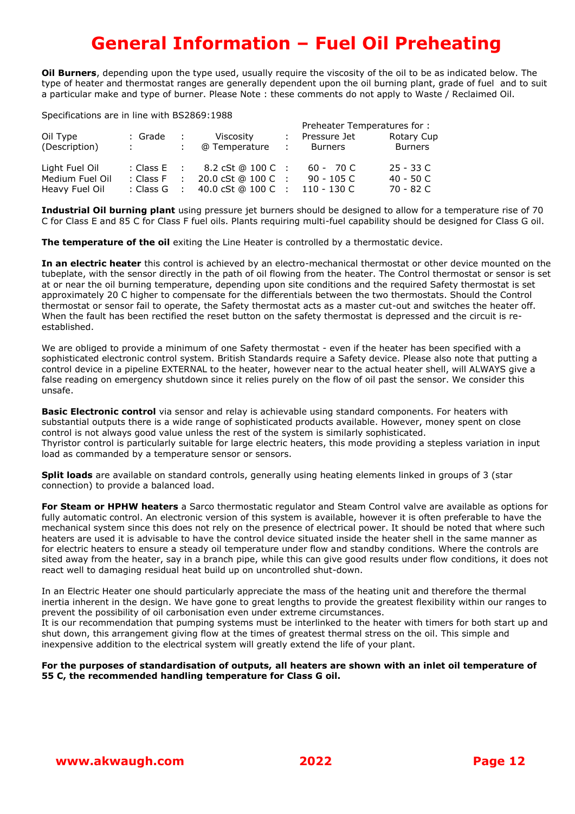### **General Information – Fuel Oil Preheating**

**Oil Burners**, depending upon the type used, usually require the viscosity of the oil to be as indicated below. The type of heater and thermostat ranges are generally dependent upon the oil burning plant, grade of fuel and to suit a particular make and type of burner. Please Note : these comments do not apply to Waste / Reclaimed Oil.

Specifications are in line with BS2869:1988

| opcomoderono di o mi mio mien pozoos i 1960 |                   |                             |                   |      |               |                |  |
|---------------------------------------------|-------------------|-----------------------------|-------------------|------|---------------|----------------|--|
|                                             |                   | Preheater Temperatures for: |                   |      |               |                |  |
| Oil Type                                    | : Grade           | - 10                        | Viscosity         |      | Pressure Jet  | Rotary Cup     |  |
| (Description)                               | <b>STATISTICS</b> |                             | @ Temperature     |      | Burners       | <b>Burners</b> |  |
| Light Fuel Oil                              | : Class $E$ :     |                             | 8.2 cSt @ 100 C : |      | $60 - 70$ C   | $25 - 33$ C    |  |
| Medium Fuel Oil                             | : Class F         | $\sim$ 100 $\sim$           | 20.0 cSt @ 100 C  | - 11 | $90 - 105$ C  | 40 - 50 C      |  |
| Heavy Fuel Oil                              | : Class G         | $\sim$ 1.                   | 40.0 cSt @ 100 C  |      | $110 - 130$ C | 70 - 82 C      |  |

**Industrial Oil burning plant** using pressure jet burners should be designed to allow for a temperature rise of 70 C for Class E and 85 C for Class F fuel oils. Plants requiring multi-fuel capability should be designed for Class G oil.

**The temperature of the oil** exiting the Line Heater is controlled by a thermostatic device.

**In an electric heater** this control is achieved by an electro-mechanical thermostat or other device mounted on the tubeplate, with the sensor directly in the path of oil flowing from the heater. The Control thermostat or sensor is set at or near the oil burning temperature, depending upon site conditions and the required Safety thermostat is set approximately 20 C higher to compensate for the differentials between the two thermostats. Should the Control thermostat or sensor fail to operate, the Safety thermostat acts as a master cut-out and switches the heater off. When the fault has been rectified the reset button on the safety thermostat is depressed and the circuit is reestablished.

We are obliged to provide a minimum of one Safety thermostat - even if the heater has been specified with a sophisticated electronic control system. British Standards require a Safety device. Please also note that putting a control device in a pipeline EXTERNAL to the heater, however near to the actual heater shell, will ALWAYS give a false reading on emergency shutdown since it relies purely on the flow of oil past the sensor. We consider this unsafe.

**Basic Electronic control** via sensor and relay is achievable using standard components. For heaters with substantial outputs there is a wide range of sophisticated products available. However, money spent on close control is not always good value unless the rest of the system is similarly sophisticated. Thyristor control is particularly suitable for large electric heaters, this mode providing a stepless variation in input load as commanded by a temperature sensor or sensors.

**Split loads** are available on standard controls, generally using heating elements linked in groups of 3 (star connection) to provide a balanced load.

**For Steam or HPHW heaters** a Sarco thermostatic regulator and Steam Control valve are available as options for fully automatic control. An electronic version of this system is available, however it is often preferable to have the mechanical system since this does not rely on the presence of electrical power. It should be noted that where such heaters are used it is advisable to have the control device situated inside the heater shell in the same manner as for electric heaters to ensure a steady oil temperature under flow and standby conditions. Where the controls are sited away from the heater, say in a branch pipe, while this can give good results under flow conditions, it does not react well to damaging residual heat build up on uncontrolled shut-down.

In an Electric Heater one should particularly appreciate the mass of the heating unit and therefore the thermal inertia inherent in the design. We have gone to great lengths to provide the greatest flexibility within our ranges to prevent the possibility of oil carbonisation even under extreme circumstances.

It is our recommendation that pumping systems must be interlinked to the heater with timers for both start up and shut down, this arrangement giving flow at the times of greatest thermal stress on the oil. This simple and inexpensive addition to the electrical system will greatly extend the life of your plant.

#### **For the purposes of standardisation of outputs, all heaters are shown with an inlet oil temperature of 55 C, the recommended handling temperature for Class G oil.**